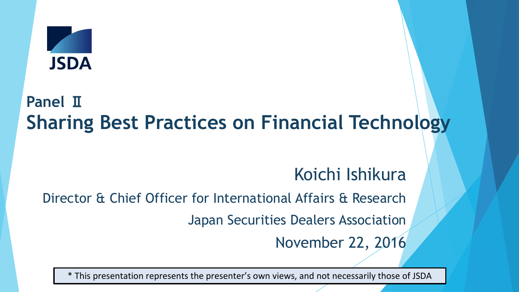

# **Panel** Ⅱ **Sharing Best Practices on Financial Technology**

# Koichi Ishikura

Director & Chief Officer for International Affairs & Research

Japan Securities Dealers Association

November 22, 2016

\* This presentation represents the presenter's own views, and not necessarily those of JSDA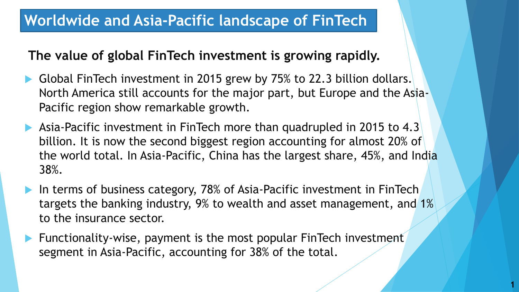#### **Worldwide and Asia-Pacific landscape of FinTech**

#### **The value of global FinTech investment is growing rapidly.**

- Global FinTech investment in 2015 grew by 75% to 22.3 billion dollars. North America still accounts for the major part, but Europe and the Asia-Pacific region show remarkable growth.
- ▶ Asia-Pacific investment in FinTech more than quadrupled in 2015 to 4.3 billion. It is now the second biggest region accounting for almost 20% of the world total. In Asia-Pacific, China has the largest share, 45%, and India 38%.
- In terms of business category, 78% of Asia-Pacific investment in FinTech targets the banking industry, 9% to wealth and asset management, and 1% to the insurance sector.

**1**

 Functionality-wise, payment is the most popular FinTech investment segment in Asia-Pacific, accounting for 38% of the total.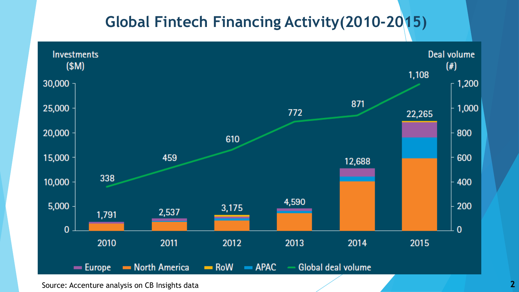#### **Global Fintech Financing Activity(2010-2015)**



Source: Accenture analysis on CB Insights data **2 2**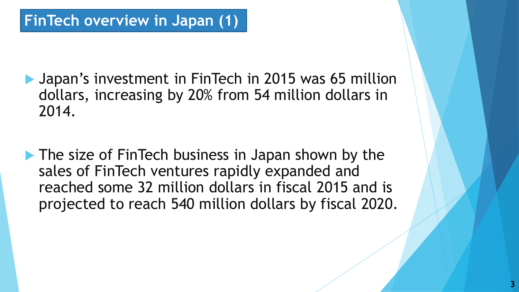**Japan's investment in FinTech in 2015 was 65 million** dollars, increasing by 20% from 54 million dollars in 2014.

**The size of FinTech business in Japan shown by the** sales of FinTech ventures rapidly expanded and reached some 32 million dollars in fiscal 2015 and is projected to reach 540 million dollars by fiscal 2020.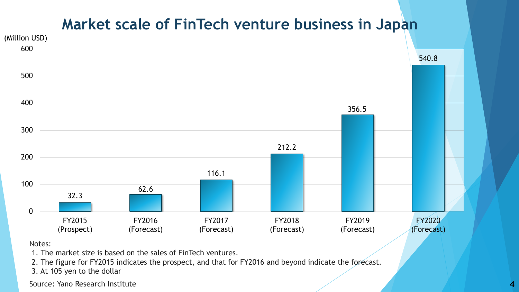#### **Market scale of FinTech venture business in Japan**



Notes:

1. The market size is based on the sales of FinTech ventures.

2. The figure for FY2015 indicates the prospect, and that for FY2016 and beyond indicate the forecast.

3. At 105 yen to the dollar

Source: Yano Research Institute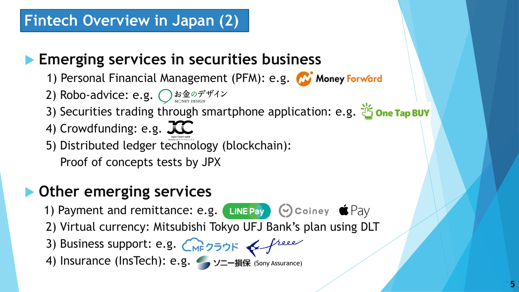## **Fintech Overview in Japan (2)**

## **Emerging services in securities business**

- 1) Personal Financial Management (PFM): e.g. W Money Forward
- 2) Robo-advice: e.g.  $\bigcirc$  お金のデザイン
- 3) Securities trading through smartphone application: e.g. is one Tap BUY
- 4) Crowdfunding: e.g.  $TC$
- 5) Distributed ledger technology (blockchain): Proof of concepts tests by JPX

## **Other emerging services**

- 1) Payment and remittance: e.g. LINEPay © Coiney  $\bullet$  Pay
- 2) Virtual currency: Mitsubishi Tokyo UFJ Bank's plan using DLT
- 3) Business support: e.g. CMF7575 & freee
- 4) Insurance (InsTech): e.g. ソニー損保 (Sony Assurance)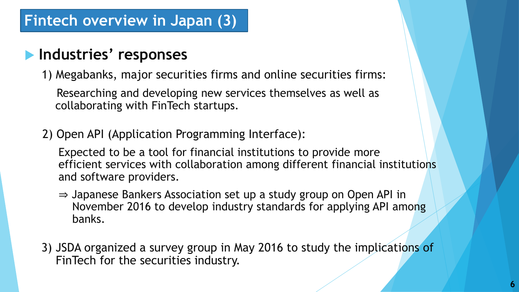#### **Industries' responses**

1) Megabanks, major securities firms and online securities firms:

Researching and developing new services themselves as well as collaborating with FinTech startups.

2) Open API (Application Programming Interface):

Expected to be a tool for financial institutions to provide more efficient services with collaboration among different financial institutions and software providers.

- ⇒ Japanese Bankers Association set up a study group on Open API in November 2016 to develop industry standards for applying API among banks.
- 3) JSDA organized a survey group in May 2016 to study the implications of FinTech for the securities industry.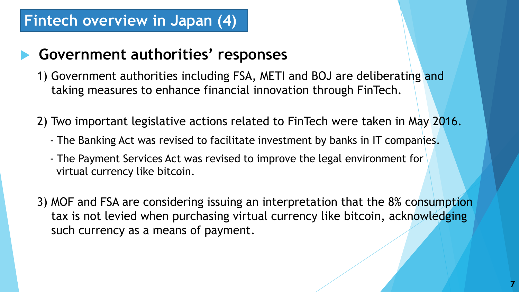#### **Fintech overview in Japan (4)**

#### **Government authorities' responses**

- 1) Government authorities including FSA, METI and BOJ are deliberating and taking measures to enhance financial innovation through FinTech.
- 2) Two important legislative actions related to FinTech were taken in May 2016.
	- The Banking Act was revised to facilitate investment by banks in IT companies.
	- The Payment Services Act was revised to improve the legal environment for virtual currency like bitcoin.
- 3) MOF and FSA are considering issuing an interpretation that the 8% consumption tax is not levied when purchasing virtual currency like bitcoin, acknowledging such currency as a means of payment.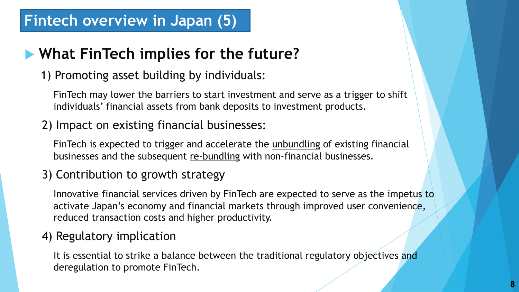#### **Fintech overview in Japan (5)**

## **What FinTech implies for the future?**

1) Promoting asset building by individuals:

FinTech may lower the barriers to start investment and serve as a trigger to shift individuals' financial assets from bank deposits to investment products.

2) Impact on existing financial businesses:

FinTech is expected to trigger and accelerate the unbundling of existing financial businesses and the subsequent re-bundling with non-financial businesses.

3) Contribution to growth strategy

Innovative financial services driven by FinTech are expected to serve as the impetus to activate Japan's economy and financial markets through improved user convenience, reduced transaction costs and higher productivity.

#### 4) Regulatory implication

It is essential to strike a balance between the traditional regulatory objectives and deregulation to promote FinTech.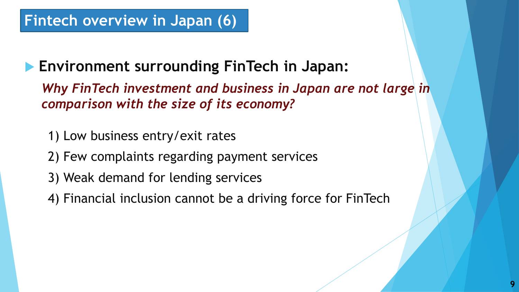## **Fintech overview in Japan (6)**

#### **Environment surrounding FinTech in Japan:**

*Why FinTech investment and business in Japan are not large in comparison with the size of its economy?*

- 1) Low business entry/exit rates
- 2) Few complaints regarding payment services
- 3) Weak demand for lending services
- 4) Financial inclusion cannot be a driving force for FinTech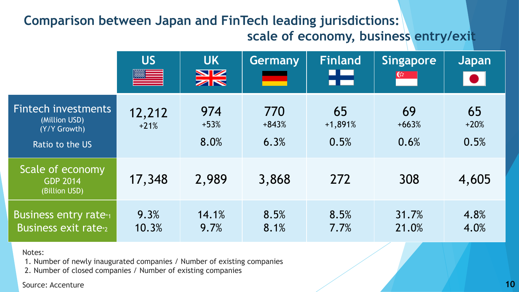#### **Comparison between Japan and FinTech leading jurisdictions: scale of economy, business entry/exit**

|                                                                         | <b>US</b><br>█   | <b>UK</b><br>$rac{N}{N}$ | Germany                | <b>Finland</b><br>HZ    | <b>Singapore</b><br>G. | Japan<br>$\bullet$   |
|-------------------------------------------------------------------------|------------------|--------------------------|------------------------|-------------------------|------------------------|----------------------|
| Fintech investments<br>(Million USD)<br>(Y/Y Growth)<br>Ratio to the US | 12,212<br>$+21%$ | 974<br>$+53%$<br>8.0%    | 770<br>$+843%$<br>6.3% | 65<br>$+1,891%$<br>0.5% | 69<br>$+663%$<br>0.6%  | 65<br>$+20%$<br>0.5% |
| Scale of economy<br><b>GDP 2014</b><br>(Billion USD)                    | 17,348           | 2,989                    | 3,868                  | 272                     | 308                    | 4,605                |
| <b>Business entry rate*1</b><br><b>Business exit rate</b> <sup>2</sup>  | 9.3%<br>10.3%    | 14.1%<br>9.7%            | 8.5%<br>8.1%           | 8.5%<br>7.7%            | 31.7%<br>21.0%         | 4.8%<br>4.0%         |

#### Notes:

1. Number of newly inaugurated companies / Number of existing companies

2. Number of closed companies / Number of existing companies

Source: Accenture **10**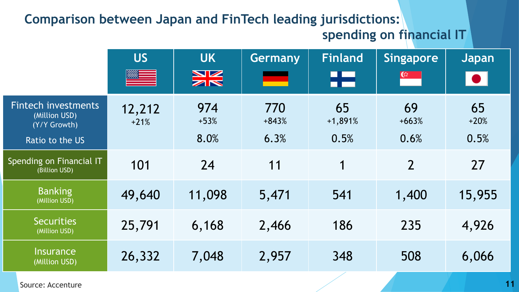#### **Comparison between Japan and FinTech leading jurisdictions:**

#### **spending on financial IT**

|                                                                                | <b>US</b>        | <b>UK</b><br>$rac{\text{N}}{\text{N}}$ | Germany<br>سم          | <b>Finland</b><br>Æ     | <b>Singapore</b><br>$\mathfrak{G}^{\pm}$ | Japan<br>$\vert\bullet\vert$ |
|--------------------------------------------------------------------------------|------------------|----------------------------------------|------------------------|-------------------------|------------------------------------------|------------------------------|
| <b>Fintech investments</b><br>(Million USD)<br>(Y/Y Growth)<br>Ratio to the US | 12,212<br>$+21%$ | 974<br>$+53%$<br>8.0%                  | 770<br>$+843%$<br>6.3% | 65<br>$+1,891%$<br>0.5% | 69<br>$+663%$<br>0.6%                    | 65<br>$+20%$<br>0.5%         |
| Spending on Financial IT<br>(Billion USD)                                      | 101              | 24                                     | 11                     | 1                       | $\overline{2}$                           | 27                           |
| <b>Banking</b><br>(Million USD)                                                | 49,640           | 11,098                                 | 5,471                  | 541                     | 1,400                                    | 15,955                       |
| <b>Securities</b><br>(Million USD)                                             | 25,791           | 6,168                                  | 2,466                  | 186                     | 235                                      | 4,926                        |
| <b>Insurance</b><br>(Million USD)                                              | 26,332           | 7,048                                  | 2,957                  | 348                     | 508                                      | 6,066                        |

Source: Accenture **11**